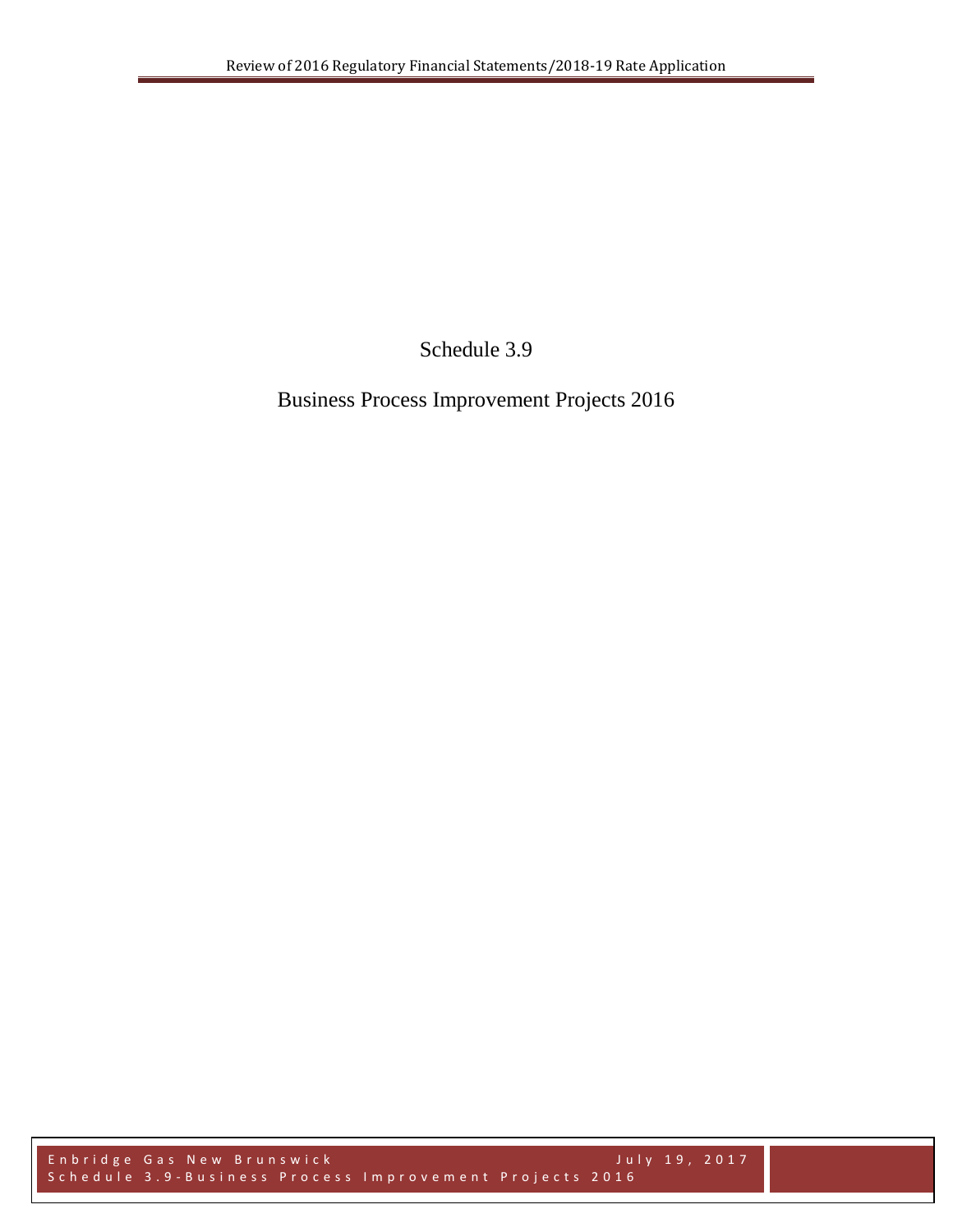Schedule 3.9

Business Process Improvement Projects 2016